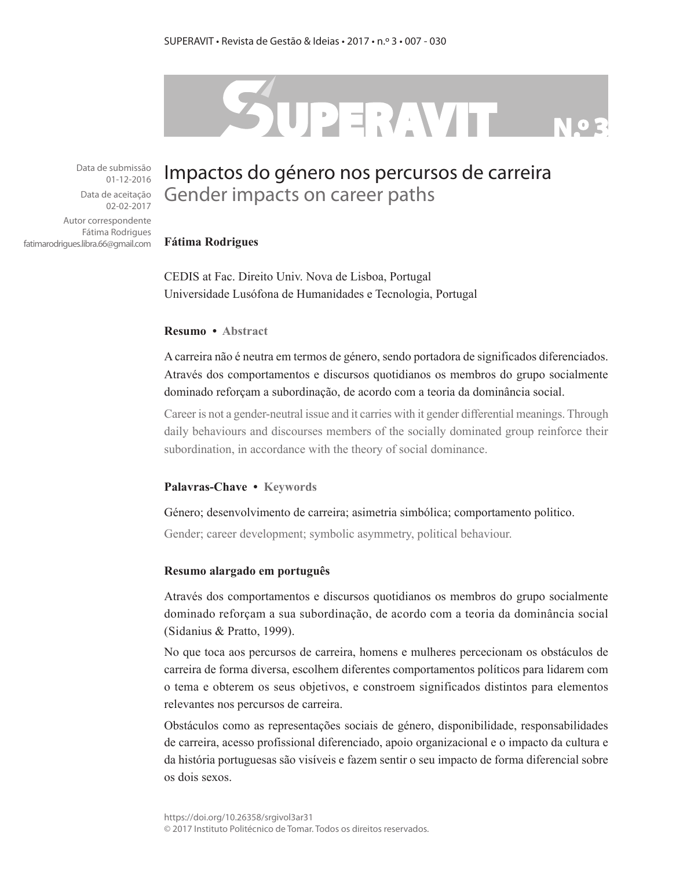# SUPERAVIT

Data de submissão 01-12-2016

Data de aceitação 02-02-2017

Autor correspondente Fátima Rodrigues fatimarodrigues.libra.66@gmail.com

# Impactos do género nos percursos de carreira Gender impacts on career paths

#### **Fátima Rodrigues**

CEDIS at Fac. Direito Univ. Nova de Lisboa, Portugal Universidade Lusófona de Humanidades e Tecnologia, Portugal

#### **Resumo • Abstract**

A carreira não é neutra em termos de género, sendo portadora de significados diferenciados. Através dos comportamentos e discursos quotidianos os membros do grupo socialmente dominado reforçam a subordinação, de acordo com a teoria da dominância social.

Career is not a gender-neutral issue and it carries with it gender differential meanings. Through daily behaviours and discourses members of the socially dominated group reinforce their subordination, in accordance with the theory of social dominance.

#### **Palavras-Chave • Keywords**

#### Género; desenvolvimento de carreira; asimetria simbólica; comportamento politico.

Gender; career development; symbolic asymmetry, political behaviour.

#### **Resumo alargado em português**

Através dos comportamentos e discursos quotidianos os membros do grupo socialmente dominado reforçam a sua subordinação, de acordo com a teoria da dominância social (Sidanius & Pratto, 1999).

No que toca aos percursos de carreira, homens e mulheres percecionam os obstáculos de carreira de forma diversa, escolhem diferentes comportamentos políticos para lidarem com o tema e obterem os seus objetivos, e constroem significados distintos para elementos relevantes nos percursos de carreira.

Obstáculos como as representações sociais de género, disponibilidade, responsabilidades de carreira, acesso profissional diferenciado, apoio organizacional e o impacto da cultura e da história portuguesas são visíveis e fazem sentir o seu impacto de forma diferencial sobre os dois sexos.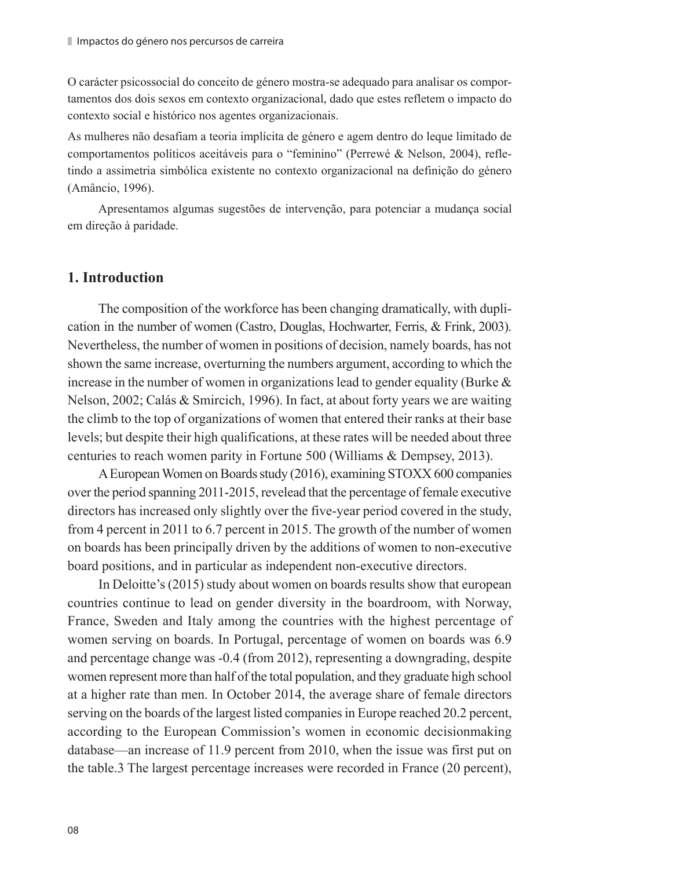O carácter psicossocial do conceito de género mostra-se adequado para analisar os comportamentos dos dois sexos em contexto organizacional, dado que estes refletem o impacto do contexto social e histórico nos agentes organizacionais.

As mulheres não desafiam a teoria implícita de género e agem dentro do leque limitado de comportamentos políticos aceitáveis para o "feminino" (Perrewé & Nelson, 2004), refletindo a assimetria simbólica existente no contexto organizacional na definição do género (Amâncio, 1996).

Apresentamos algumas sugestões de intervenção, para potenciar a mudança social em direção à paridade.

# **1. Introduction**

The composition of the workforce has been changing dramatically, with duplication in the number of women (Castro, Douglas, Hochwarter, Ferris, & Frink, 2003). Nevertheless, the number of women in positions of decision, namely boards, has not shown the same increase, overturning the numbers argument, according to which the increase in the number of women in organizations lead to gender equality (Burke  $\&$ Nelson, 2002; Calás & Smircich, 1996). In fact, at about forty years we are waiting the climb to the top of organizations of women that entered their ranks at their base levels; but despite their high qualifications, at these rates will be needed about three centuries to reach women parity in Fortune 500 (Williams & Dempsey, 2013).

A European Women on Boards study (2016), examining STOXX 600 companies over the period spanning 2011-2015, revelead that the percentage of female executive directors has increased only slightly over the five-year period covered in the study, from 4 percent in 2011 to 6.7 percent in 2015. The growth of the number of women on boards has been principally driven by the additions of women to non-executive board positions, and in particular as independent non-executive directors.

In Deloitte's (2015) study about women on boards results show that european countries continue to lead on gender diversity in the boardroom, with Norway, France, Sweden and Italy among the countries with the highest percentage of women serving on boards. In Portugal, percentage of women on boards was 6.9 and percentage change was -0.4 (from 2012), representing a downgrading, despite women represent more than half of the total population, and they graduate high school at a higher rate than men. In October 2014, the average share of female directors serving on the boards of the largest listed companies in Europe reached 20.2 percent, according to the European Commission's women in economic decisionmaking database—an increase of 11.9 percent from 2010, when the issue was first put on the table.3 The largest percentage increases were recorded in France (20 percent),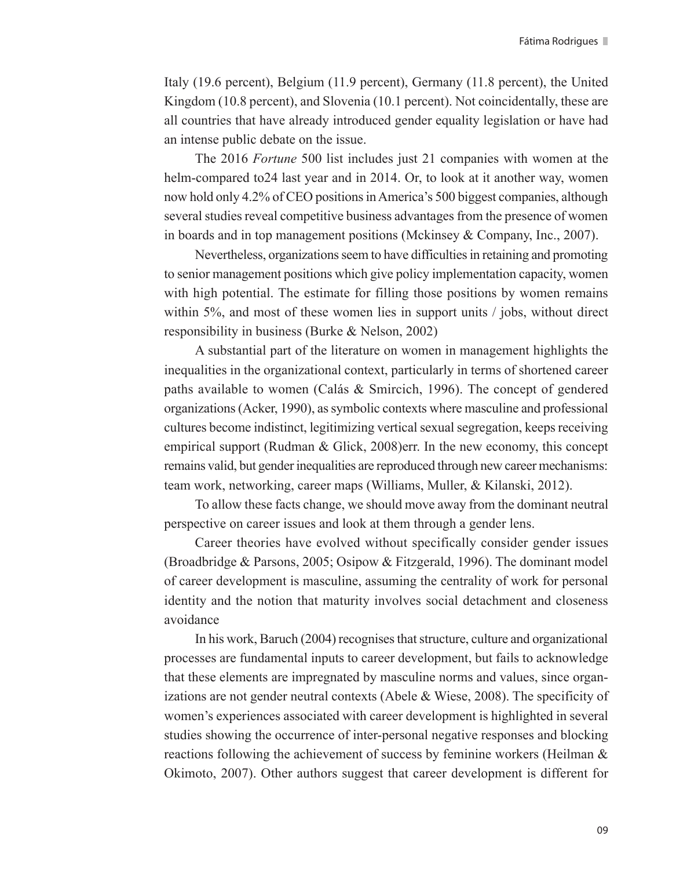Italy (19.6 percent), Belgium (11.9 percent), Germany (11.8 percent), the United Kingdom (10.8 percent), and Slovenia (10.1 percent). Not coincidentally, these are all countries that have already introduced gender equality legislation or have had an intense public debate on the issue.

The 2016 *Fortune* 500 list includes just 21 companies with women at the helm-compared to24 last year and in 2014. Or, to look at it another way, women now hold only 4.2% of CEO positions in America's 500 biggest companies, although several studies reveal competitive business advantages from the presence of women in boards and in top management positions (Mckinsey & Company, Inc., 2007).

Nevertheless, organizations seem to have difficulties in retaining and promoting to senior management positions which give policy implementation capacity, women with high potential. The estimate for filling those positions by women remains within 5%, and most of these women lies in support units / jobs, without direct responsibility in business (Burke & Nelson, 2002)

A substantial part of the literature on women in management highlights the inequalities in the organizational context, particularly in terms of shortened career paths available to women (Calás & Smircich, 1996). The concept of gendered organizations (Acker, 1990), as symbolic contexts where masculine and professional cultures become indistinct, legitimizing vertical sexual segregation, keeps receiving empirical support (Rudman & Glick, 2008)err. In the new economy, this concept remains valid, but gender inequalities are reproduced through new career mechanisms: team work, networking, career maps (Williams, Muller, & Kilanski, 2012).

To allow these facts change, we should move away from the dominant neutral perspective on career issues and look at them through a gender lens.

Career theories have evolved without specifically consider gender issues (Broadbridge & Parsons, 2005; Osipow & Fitzgerald, 1996). The dominant model of career development is masculine, assuming the centrality of work for personal identity and the notion that maturity involves social detachment and closeness avoidance

In his work, Baruch (2004) recognises that structure, culture and organizational processes are fundamental inputs to career development, but fails to acknowledge that these elements are impregnated by masculine norms and values, since organizations are not gender neutral contexts (Abele & Wiese, 2008). The specificity of women's experiences associated with career development is highlighted in several studies showing the occurrence of inter-personal negative responses and blocking reactions following the achievement of success by feminine workers (Heilman & Okimoto, 2007). Other authors suggest that career development is different for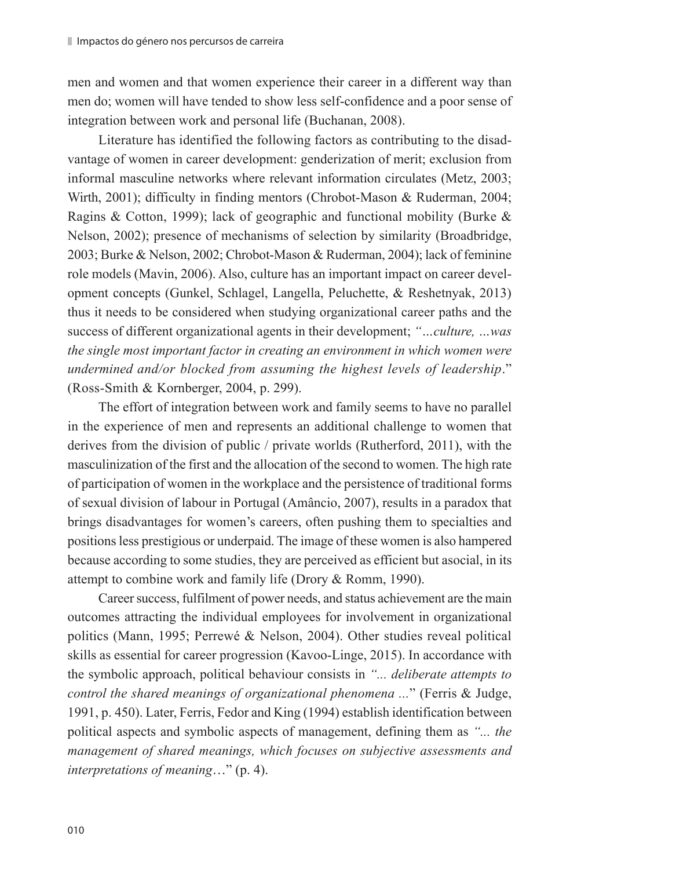men and women and that women experience their career in a different way than men do; women will have tended to show less self-confidence and a poor sense of integration between work and personal life (Buchanan, 2008).

Literature has identified the following factors as contributing to the disadvantage of women in career development: genderization of merit; exclusion from informal masculine networks where relevant information circulates (Metz, 2003; Wirth, 2001); difficulty in finding mentors (Chrobot-Mason & Ruderman, 2004; Ragins & Cotton, 1999); lack of geographic and functional mobility (Burke & Nelson, 2002); presence of mechanisms of selection by similarity (Broadbridge, 2003; Burke & Nelson, 2002; Chrobot-Mason & Ruderman, 2004); lack of feminine role models (Mavin, 2006). Also, culture has an important impact on career development concepts (Gunkel, Schlagel, Langella, Peluchette, & Reshetnyak, 2013) thus it needs to be considered when studying organizational career paths and the success of different organizational agents in their development; *"…culture, …was the single most important factor in creating an environment in which women were undermined and/or blocked from assuming the highest levels of leadership*." (Ross-Smith & Kornberger, 2004, p. 299).

The effort of integration between work and family seems to have no parallel in the experience of men and represents an additional challenge to women that derives from the division of public / private worlds (Rutherford, 2011), with the masculinization of the first and the allocation of the second to women. The high rate of participation of women in the workplace and the persistence of traditional forms of sexual division of labour in Portugal (Amâncio, 2007), results in a paradox that brings disadvantages for women's careers, often pushing them to specialties and positions less prestigious or underpaid. The image of these women is also hampered because according to some studies, they are perceived as efficient but asocial, in its attempt to combine work and family life (Drory & Romm, 1990).

Career success, fulfilment of power needs, and status achievement are the main outcomes attracting the individual employees for involvement in organizational politics (Mann, 1995; Perrewé & Nelson, 2004). Other studies reveal political skills as essential for career progression (Kavoo-Linge, 2015). In accordance with the symbolic approach, political behaviour consists in *"... deliberate attempts to control the shared meanings of organizational phenomena ...*" (Ferris & Judge, 1991, p. 450). Later, Ferris, Fedor and King (1994) establish identification between political aspects and symbolic aspects of management, defining them as *"... the management of shared meanings, which focuses on subjective assessments and interpretations of meaning*…" (p. 4).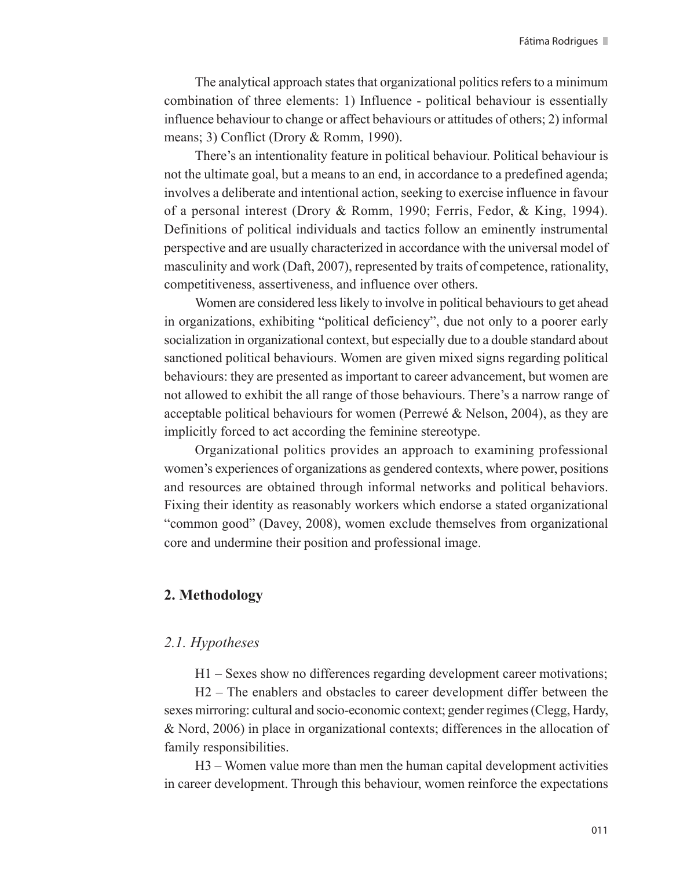The analytical approach states that organizational politics refers to a minimum combination of three elements: 1) Influence - political behaviour is essentially influence behaviour to change or affect behaviours or attitudes of others; 2) informal means; 3) Conflict (Drory & Romm, 1990).

There's an intentionality feature in political behaviour. Political behaviour is not the ultimate goal, but a means to an end, in accordance to a predefined agenda; involves a deliberate and intentional action, seeking to exercise influence in favour of a personal interest (Drory & Romm, 1990; Ferris, Fedor, & King, 1994). Definitions of political individuals and tactics follow an eminently instrumental perspective and are usually characterized in accordance with the universal model of masculinity and work (Daft, 2007), represented by traits of competence, rationality, competitiveness, assertiveness, and influence over others.

Women are considered less likely to involve in political behaviours to get ahead in organizations, exhibiting "political deficiency", due not only to a poorer early socialization in organizational context, but especially due to a double standard about sanctioned political behaviours. Women are given mixed signs regarding political behaviours: they are presented as important to career advancement, but women are not allowed to exhibit the all range of those behaviours. There's a narrow range of acceptable political behaviours for women (Perrewé & Nelson, 2004), as they are implicitly forced to act according the feminine stereotype.

Organizational politics provides an approach to examining professional women's experiences of organizations as gendered contexts, where power, positions and resources are obtained through informal networks and political behaviors. Fixing their identity as reasonably workers which endorse a stated organizational "common good" (Davey, 2008), women exclude themselves from organizational core and undermine their position and professional image.

# **2. Methodology**

#### *2.1. Hypotheses*

H1 – Sexes show no differences regarding development career motivations;

H2 – The enablers and obstacles to career development differ between the sexes mirroring: cultural and socio-economic context; gender regimes (Clegg, Hardy, & Nord, 2006) in place in organizational contexts; differences in the allocation of family responsibilities.

H3 – Women value more than men the human capital development activities in career development. Through this behaviour, women reinforce the expectations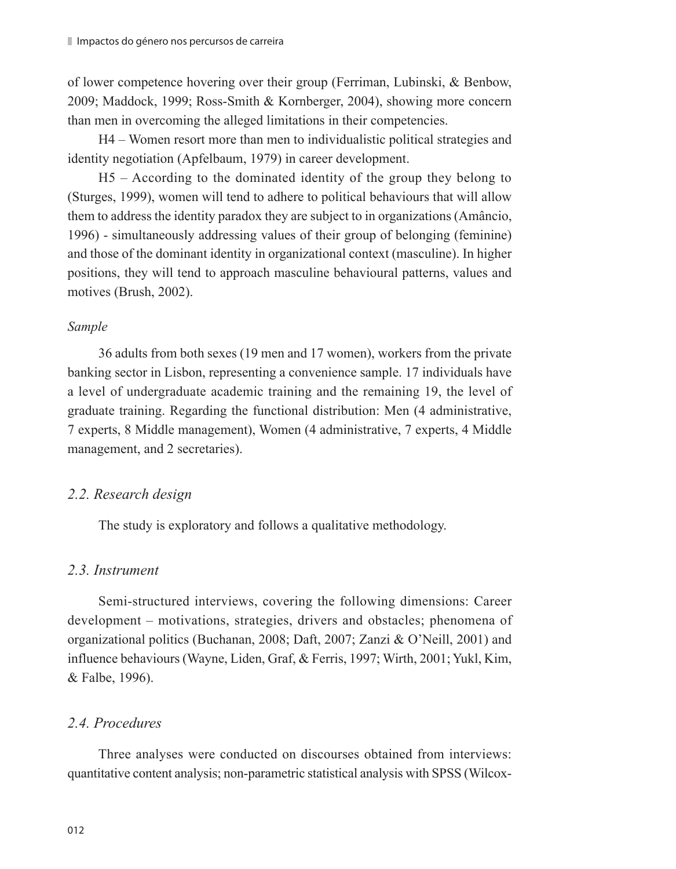of lower competence hovering over their group (Ferriman, Lubinski, & Benbow, 2009; Maddock, 1999; Ross-Smith & Kornberger, 2004), showing more concern than men in overcoming the alleged limitations in their competencies.

H4 – Women resort more than men to individualistic political strategies and identity negotiation (Apfelbaum, 1979) in career development.

H5 – According to the dominated identity of the group they belong to (Sturges, 1999), women will tend to adhere to political behaviours that will allow them to address the identity paradox they are subject to in organizations (Amâncio, 1996) - simultaneously addressing values of their group of belonging (feminine) and those of the dominant identity in organizational context (masculine). In higher positions, they will tend to approach masculine behavioural patterns, values and motives (Brush, 2002).

#### *Sample*

36 adults from both sexes (19 men and 17 women), workers from the private banking sector in Lisbon, representing a convenience sample. 17 individuals have a level of undergraduate academic training and the remaining 19, the level of graduate training. Regarding the functional distribution: Men (4 administrative, 7 experts, 8 Middle management), Women (4 administrative, 7 experts, 4 Middle management, and 2 secretaries).

## *2.2. Research design*

The study is exploratory and follows a qualitative methodology.

# *2.3. Instrument*

Semi-structured interviews, covering the following dimensions: Career development – motivations, strategies, drivers and obstacles; phenomena of organizational politics (Buchanan, 2008; Daft, 2007; Zanzi & O'Neill, 2001) and influence behaviours (Wayne, Liden, Graf, & Ferris, 1997; Wirth, 2001; Yukl, Kim, & Falbe, 1996).

# *2.4. Procedures*

Three analyses were conducted on discourses obtained from interviews: quantitative content analysis; non-parametric statistical analysis with SPSS (Wilcox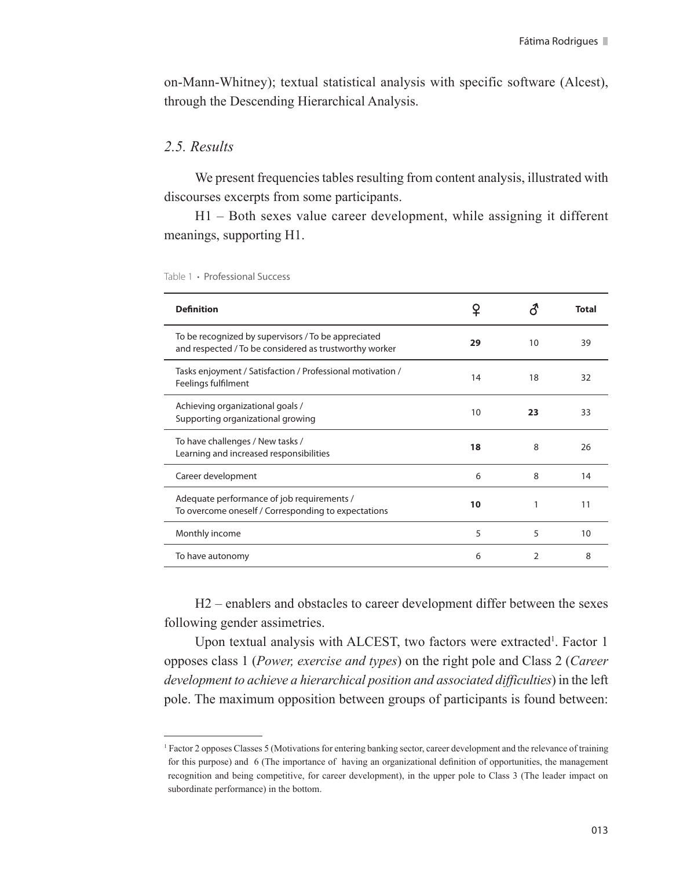on-Mann-Whitney); textual statistical analysis with specific software (Alcest), through the Descending Hierarchical Analysis.

# *2.5. Results*

We present frequencies tables resulting from content analysis, illustrated with discourses excerpts from some participants.

H1 – Both sexes value career development, while assigning it different meanings, supporting H1.

| <b>Definition</b>                                                                                             | ¥  |                | <b>Total</b> |
|---------------------------------------------------------------------------------------------------------------|----|----------------|--------------|
| To be recognized by supervisors / To be appreciated<br>and respected / To be considered as trustworthy worker | 29 | 10             | 39           |
| Tasks enjoyment / Satisfaction / Professional motivation /<br>Feelings fulfilment                             | 14 | 18             | 32           |
| Achieving organizational goals /<br>Supporting organizational growing                                         | 10 | 23             | 33           |
| To have challenges / New tasks /<br>Learning and increased responsibilities                                   | 18 | 8              | 26           |
| Career development                                                                                            | 6  | 8              | 14           |
| Adequate performance of job requirements /<br>To overcome oneself / Corresponding to expectations             | 10 | 1              | 11           |
| Monthly income                                                                                                | 5  | 5              | 10           |
| To have autonomy                                                                                              | 6  | $\overline{2}$ | 8            |

Table 1 **·** Professional Success

H2 – enablers and obstacles to career development differ between the sexes following gender assimetries.

Upon textual analysis with ALCEST, two factors were extracted<sup>1</sup>. Factor 1 opposes class 1 (*Power, exercise and types*) on the right pole and Class 2 (*Career development to achieve a hierarchical position and associated difficulties*) in the left pole. The maximum opposition between groups of participants is found between:

<sup>1</sup> Factor 2 opposes Classes 5 (Motivations for entering banking sector, career development and the relevance of training for this purpose) and 6 (The importance of having an organizational definition of opportunities, the management recognition and being competitive, for career development), in the upper pole to Class 3 (The leader impact on subordinate performance) in the bottom.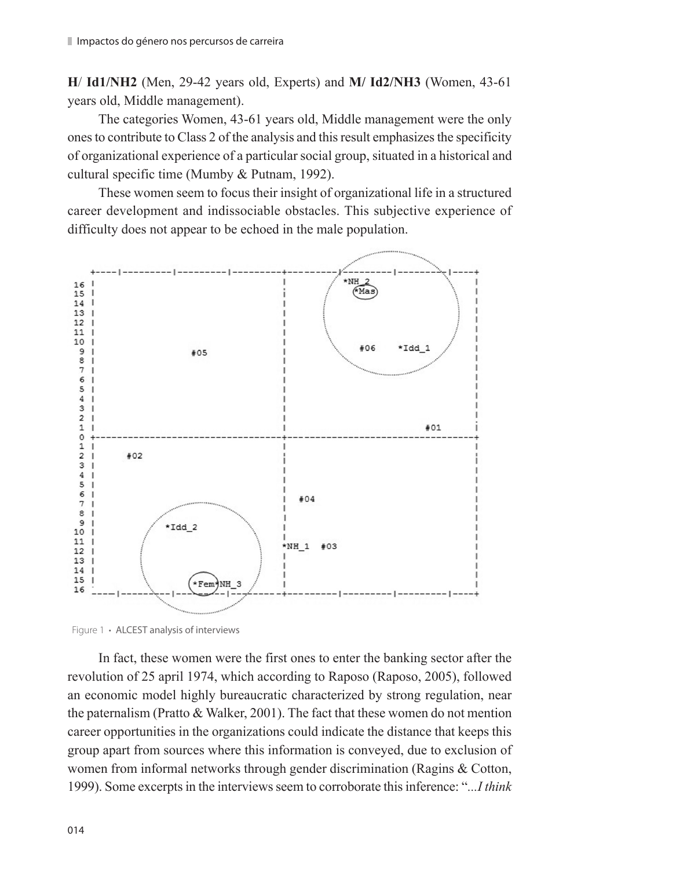**H**/ **Id1/NH2** (Men, 29-42 years old, Experts) and **M/ Id2/NH3** (Women, 43-61 years old, Middle management).

The categories Women, 43-61 years old, Middle management were the only ones to contribute to Class 2 of the analysis and this result emphasizes the specificity of organizational experience of a particular social group, situated in a historical and cultural specific time (Mumby & Putnam, 1992).

These women seem to focus their insight of organizational life in a structured career development and indissociable obstacles. This subjective experience of difficulty does not appear to be echoed in the male population.



Figure 1 **·** ALCEST analysis of interviews

In fact, these women were the first ones to enter the banking sector after the revolution of 25 april 1974, which according to Raposo (Raposo, 2005), followed an economic model highly bureaucratic characterized by strong regulation, near the paternalism (Pratto & Walker, 2001). The fact that these women do not mention career opportunities in the organizations could indicate the distance that keeps this group apart from sources where this information is conveyed, due to exclusion of women from informal networks through gender discrimination (Ragins & Cotton, 1999). Some excerpts in the interviews seem to corroborate this inference: "*...I think*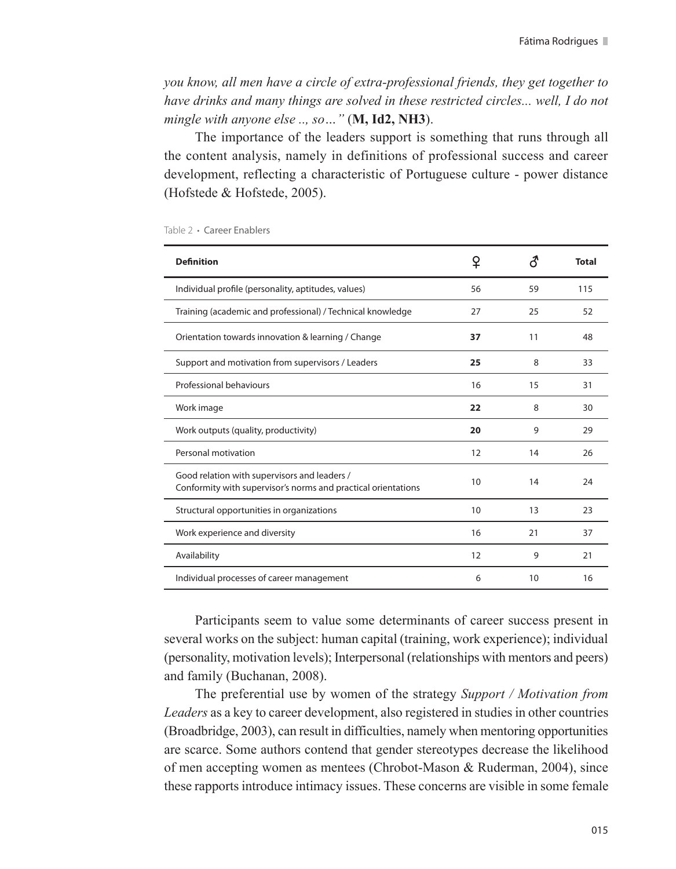*you know, all men have a circle of extra-professional friends, they get together to have drinks and many things are solved in these restricted circles... well, I do not mingle with anyone else .., so…"* (**M, Id2, NH3**).

The importance of the leaders support is something that runs through all the content analysis, namely in definitions of professional success and career development, reflecting a characteristic of Portuguese culture - power distance (Hofstede & Hofstede, 2005).

| <b>Definition</b>                                                                                             | ¥  |    | Total |
|---------------------------------------------------------------------------------------------------------------|----|----|-------|
| Individual profile (personality, aptitudes, values)                                                           | 56 | 59 | 115   |
| Training (academic and professional) / Technical knowledge                                                    | 27 | 25 | 52    |
| Orientation towards innovation & learning / Change                                                            | 37 | 11 | 48    |
| Support and motivation from supervisors / Leaders                                                             | 25 | 8  | 33    |
| Professional behaviours                                                                                       | 16 | 15 | 31    |
| Work image                                                                                                    | 22 | 8  | 30    |
| Work outputs (quality, productivity)                                                                          | 20 | 9  | 29    |
| Personal motivation                                                                                           | 12 | 14 | 26    |
| Good relation with supervisors and leaders /<br>Conformity with supervisor's norms and practical orientations | 10 | 14 | 24    |
| Structural opportunities in organizations                                                                     | 10 | 13 | 23    |
| Work experience and diversity                                                                                 | 16 | 21 | 37    |
| Availability                                                                                                  | 12 | 9  | 21    |
| Individual processes of career management                                                                     | 6  | 10 | 16    |

#### Table 2 **·** Career Enablers

Participants seem to value some determinants of career success present in several works on the subject: human capital (training, work experience); individual (personality, motivation levels); Interpersonal (relationships with mentors and peers) and family (Buchanan, 2008).

The preferential use by women of the strategy *Support / Motivation from Leaders* as a key to career development, also registered in studies in other countries (Broadbridge, 2003), can result in difficulties, namely when mentoring opportunities are scarce. Some authors contend that gender stereotypes decrease the likelihood of men accepting women as mentees (Chrobot-Mason & Ruderman, 2004), since these rapports introduce intimacy issues. These concerns are visible in some female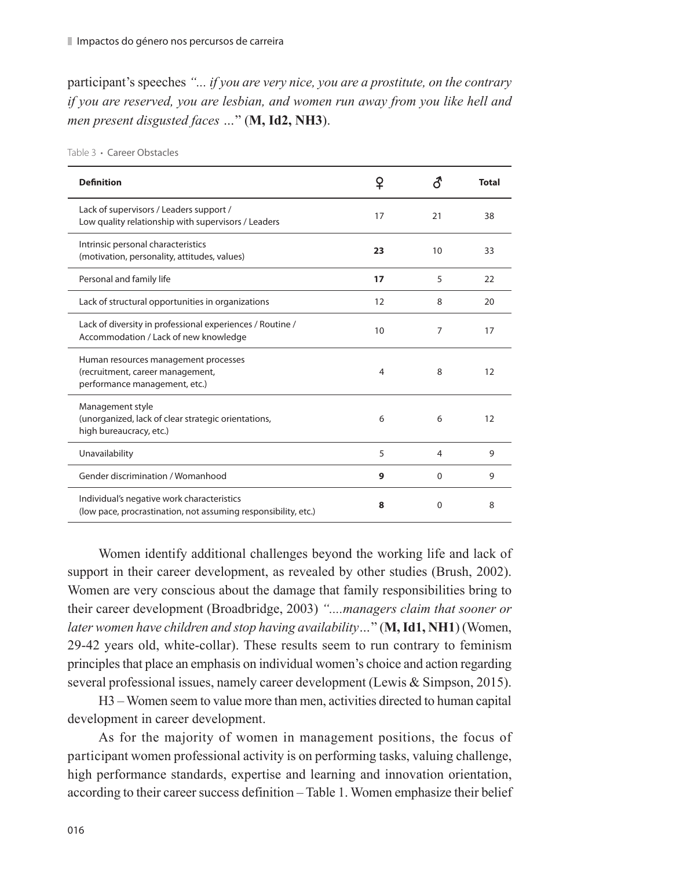participant's speeches *"... if you are very nice, you are a prostitute, on the contrary if you are reserved, you are lesbian, and women run away from you like hell and men present disgusted faces …*" (**M, Id2, NH3**).

| <b>Definition</b>                                                                                            | ♀  |          | <b>Total</b> |
|--------------------------------------------------------------------------------------------------------------|----|----------|--------------|
| Lack of supervisors / Leaders support /<br>Low quality relationship with supervisors / Leaders               | 17 | 21       | 38           |
| Intrinsic personal characteristics<br>(motivation, personality, attitudes, values)                           | 23 | 10       | 33           |
| Personal and family life                                                                                     | 17 | 5        | 22           |
| Lack of structural opportunities in organizations                                                            | 12 | 8        | 20           |
| Lack of diversity in professional experiences / Routine /<br>Accommodation / Lack of new knowledge           | 10 | 7        | 17           |
| Human resources management processes<br>(recruitment, career management,<br>performance management, etc.)    | 4  | 8        | 12           |
| Management style<br>(unorganized, lack of clear strategic orientations,<br>high bureaucracy, etc.)           | 6  | 6        | 12           |
| Unavailability                                                                                               | 5  | 4        | 9            |
| Gender discrimination / Womanhood                                                                            | 9  | $\Omega$ | 9            |
| Individual's negative work characteristics<br>(low pace, procrastination, not assuming responsibility, etc.) | 8  | $\Omega$ | 8            |

Table 3 **·** Career Obstacles

Women identify additional challenges beyond the working life and lack of support in their career development, as revealed by other studies (Brush, 2002). Women are very conscious about the damage that family responsibilities bring to their career development (Broadbridge, 2003) *"....managers claim that sooner or later women have children and stop having availability…*" (**M, Id1, NH1**) (Women, 29-42 years old, white-collar). These results seem to run contrary to feminism principles that place an emphasis on individual women's choice and action regarding several professional issues, namely career development (Lewis & Simpson, 2015).

H3 – Women seem to value more than men, activities directed to human capital development in career development.

As for the majority of women in management positions, the focus of participant women professional activity is on performing tasks, valuing challenge, high performance standards, expertise and learning and innovation orientation, according to their career success definition – Table 1. Women emphasize their belief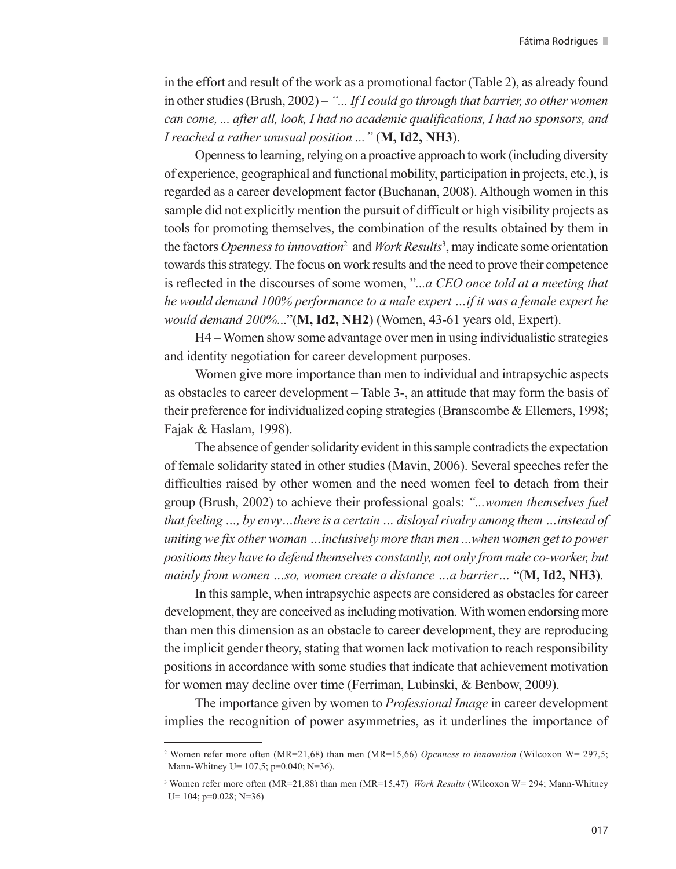in the effort and result of the work as a promotional factor (Table 2), as already found in other studies (Brush, 2002) – *"... If I could go through that barrier, so other women can come, ... after all, look, I had no academic qualifications, I had no sponsors, and I reached a rather unusual position ..."* (**M, Id2, NH3**).

Openness to learning, relying on a proactive approach to work (including diversity of experience, geographical and functional mobility, participation in projects, etc.), is regarded as a career development factor (Buchanan, 2008). Although women in this sample did not explicitly mention the pursuit of difficult or high visibility projects as tools for promoting themselves, the combination of the results obtained by them in the factors *Openness to innovation*<sup>2</sup> and *Work Results*<sup>3</sup> , may indicate some orientation towards this strategy. The focus on work results and the need to prove their competence is reflected in the discourses of some women, "*...a CEO once told at a meeting that he would demand 100% performance to a male expert …if it was a female expert he would demand 200%*..."(**M, Id2, NH2**) (Women, 43-61 years old, Expert).

H4 – Women show some advantage over men in using individualistic strategies and identity negotiation for career development purposes.

Women give more importance than men to individual and intrapsychic aspects as obstacles to career development – Table 3-, an attitude that may form the basis of their preference for individualized coping strategies (Branscombe & Ellemers, 1998; Fajak & Haslam, 1998).

The absence of gender solidarity evident in this sample contradicts the expectation of female solidarity stated in other studies (Mavin, 2006). Several speeches refer the difficulties raised by other women and the need women feel to detach from their group (Brush, 2002) to achieve their professional goals: *"...women themselves fuel that feeling …, by envy…there is a certain … disloyal rivalry among them …instead of uniting we fix other woman …inclusively more than men ...when women get to power positions they have to defend themselves constantly, not only from male co-worker, but mainly from women …so, women create a distance …a barrier…* "(**M, Id2, NH3**).

In this sample, when intrapsychic aspects are considered as obstacles for career development, they are conceived as including motivation. With women endorsing more than men this dimension as an obstacle to career development, they are reproducing the implicit gender theory, stating that women lack motivation to reach responsibility positions in accordance with some studies that indicate that achievement motivation for women may decline over time (Ferriman, Lubinski, & Benbow, 2009).

The importance given by women to *Professional Image* in career development implies the recognition of power asymmetries, as it underlines the importance of

<sup>&</sup>lt;sup>2</sup> Women refer more often (MR=21,68) than men (MR=15,66) *Openness to innovation* (Wilcoxon W= 297,5; Mann-Whitney U= 107,5; p=0.040; N=36).

<sup>3</sup> Women refer more often (MR=21,88) than men (MR=15,47) *Work Results* (Wilcoxon W= 294; Mann-Whitney U= 104; p=0.028; N=36)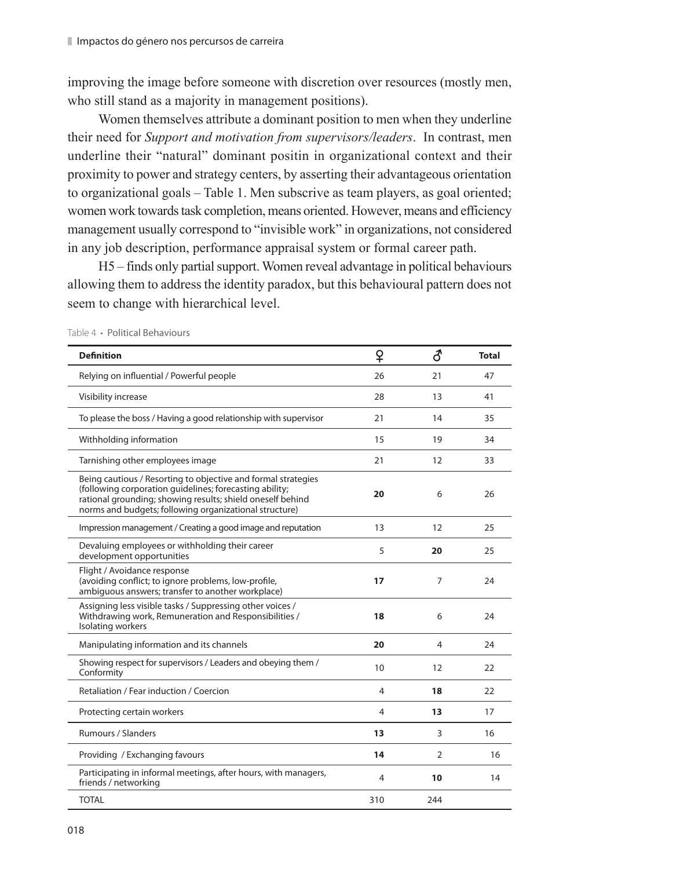improving the image before someone with discretion over resources (mostly men, who still stand as a majority in management positions).

Women themselves attribute a dominant position to men when they underline their need for *Support and motivation from supervisors/leaders*. In contrast, men underline their "natural" dominant positin in organizational context and their proximity to power and strategy centers, by asserting their advantageous orientation to organizational goals – Table 1. Men subscrive as team players, as goal oriented; women work towards task completion, means oriented. However, means and efficiency management usually correspond to "invisible work" in organizations, not considered in any job description, performance appraisal system or formal career path.

H5 – finds only partial support. Women reveal advantage in political behaviours allowing them to address the identity paradox, but this behavioural pattern does not seem to change with hierarchical level.

| <b>Definition</b>                                                                                                                                                                                                                                | ♀   | ර   | <b>Total</b> |
|--------------------------------------------------------------------------------------------------------------------------------------------------------------------------------------------------------------------------------------------------|-----|-----|--------------|
| Relying on influential / Powerful people                                                                                                                                                                                                         | 26  | 21  | 47           |
| Visibility increase                                                                                                                                                                                                                              | 28  | 13  | 41           |
| To please the boss / Having a good relationship with supervisor                                                                                                                                                                                  | 21  | 14  | 35           |
| Withholding information                                                                                                                                                                                                                          | 15  | 19  | 34           |
| Tarnishing other employees image                                                                                                                                                                                                                 | 21  | 12  | 33           |
| Being cautious / Resorting to objective and formal strategies<br>(following corporation guidelines; forecasting ability;<br>rational grounding; showing results; shield oneself behind<br>norms and budgets; following organizational structure) | 20  | 6   | 26           |
| Impression management / Creating a good image and reputation                                                                                                                                                                                     | 13  | 12  | 25           |
| Devaluing employees or withholding their career<br>development opportunities                                                                                                                                                                     | 5   | 20  | 25           |
| Flight / Avoidance response<br>(avoiding conflict; to ignore problems, low-profile,<br>ambiguous answers; transfer to another workplace)                                                                                                         | 17  | 7   | 24           |
| Assigning less visible tasks / Suppressing other voices /<br>Withdrawing work, Remuneration and Responsibilities /<br>Isolating workers                                                                                                          | 18  | 6   | 24           |
| Manipulating information and its channels                                                                                                                                                                                                        | 20  | 4   | 24           |
| Showing respect for supervisors / Leaders and obeying them /<br>Conformity                                                                                                                                                                       | 10  | 12  | 22           |
| Retaliation / Fear induction / Coercion                                                                                                                                                                                                          | 4   | 18  | 22           |
| Protecting certain workers                                                                                                                                                                                                                       | 4   | 13  | 17           |
| <b>Rumours / Slanders</b>                                                                                                                                                                                                                        | 13  | 3   | 16           |
| Providing / Exchanging favours                                                                                                                                                                                                                   | 14  | 2   | 16           |
| Participating in informal meetings, after hours, with managers,<br>friends / networking                                                                                                                                                          | 4   | 10  | 14           |
| <b>TOTAL</b>                                                                                                                                                                                                                                     | 310 | 244 |              |

Table 4 **·** Political Behaviours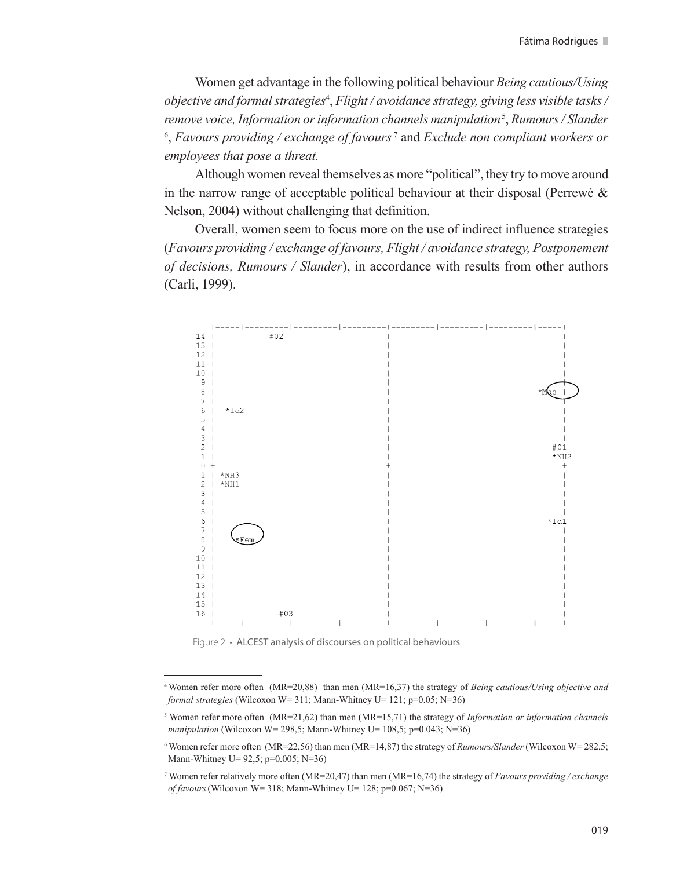Women get advantage in the following political behaviour *Being cautious/Using objective and formal strategies*<sup>4</sup> , *Flight / avoidance strategy, giving less visible tasks / remove voice, Information or information channels manipulation*<sup>5</sup> , *Rumours / Slander* <sup>6</sup>, Favours providing / exchange of favours<sup>7</sup> and *Exclude non compliant workers or employees that pose a threat.*

Although women reveal themselves as more "political", they try to move around in the narrow range of acceptable political behaviour at their disposal (Perrewé  $\&$ Nelson, 2004) without challenging that definition.

Overall, women seem to focus more on the use of indirect influence strategies (*Favours providing / exchange of favours, Flight / avoidance strategy, Postponement of decisions, Rumours / Slander*), in accordance with results from other authors (Carli, 1999).



Figure 2 **·** ALCEST analysis of discourses on political behaviours

<sup>4</sup>Women refer more often (MR=20,88) than men (MR=16,37) the strategy of *Being cautious/Using objective and formal strategies* (Wilcoxon W= 311; Mann-Whitney U= 121; p=0.05; N=36)

<sup>5</sup> Women refer more often (MR=21,62) than men (MR=15,71) the strategy of *Information or information channels manipulation* (Wilcoxon W= 298,5; Mann-Whitney U= 108,5; p=0.043; N=36)

<sup>6</sup> Women refer more often (MR=22,56) than men (MR=14,87) the strategy of *Rumours/Slander* (Wilcoxon W= 282,5; Mann-Whitney U= 92,5; p=0.005; N=36)

<sup>7</sup> Women refer relatively more often (MR=20,47) than men (MR=16,74) the strategy of *Favours providing / exchange of favours*(Wilcoxon W= 318; Mann-Whitney U= 128; p=0.067; N=36)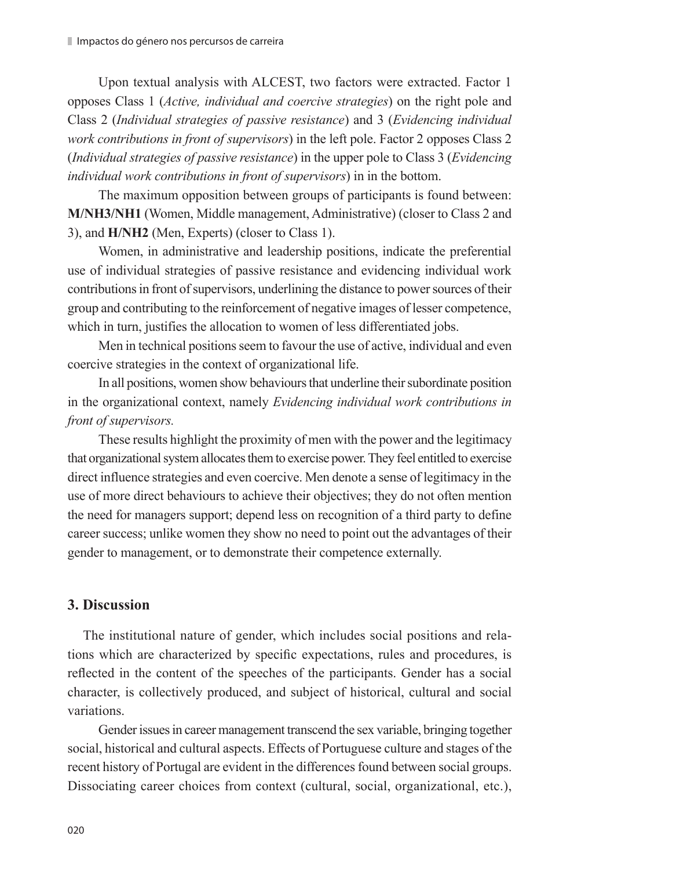Upon textual analysis with ALCEST, two factors were extracted. Factor 1 opposes Class 1 (*Active, individual and coercive strategies*) on the right pole and Class 2 (*Individual strategies of passive resistance*) and 3 (*Evidencing individual work contributions in front of supervisors*) in the left pole. Factor 2 opposes Class 2 (*Individual strategies of passive resistance*) in the upper pole to Class 3 (*Evidencing individual work contributions in front of supervisors*) in in the bottom.

The maximum opposition between groups of participants is found between: **M/NH3/NH1** (Women, Middle management, Administrative) (closer to Class 2 and 3), and **H/NH2** (Men, Experts) (closer to Class 1).

Women, in administrative and leadership positions, indicate the preferential use of individual strategies of passive resistance and evidencing individual work contributions in front of supervisors, underlining the distance to power sources of their group and contributing to the reinforcement of negative images of lesser competence, which in turn, justifies the allocation to women of less differentiated jobs.

Men in technical positions seem to favour the use of active, individual and even coercive strategies in the context of organizational life.

In all positions, women show behaviours that underline their subordinate position in the organizational context, namely *Evidencing individual work contributions in front of supervisors.*

These results highlight the proximity of men with the power and the legitimacy that organizational system allocates them to exercise power. They feel entitled to exercise direct influence strategies and even coercive. Men denote a sense of legitimacy in the use of more direct behaviours to achieve their objectives; they do not often mention the need for managers support; depend less on recognition of a third party to define career success; unlike women they show no need to point out the advantages of their gender to management, or to demonstrate their competence externally.

# **3. Discussion**

The institutional nature of gender, which includes social positions and relations which are characterized by specific expectations, rules and procedures, is reflected in the content of the speeches of the participants. Gender has a social character, is collectively produced, and subject of historical, cultural and social variations.

Gender issues in career management transcend the sex variable, bringing together social, historical and cultural aspects. Effects of Portuguese culture and stages of the recent history of Portugal are evident in the differences found between social groups. Dissociating career choices from context (cultural, social, organizational, etc.),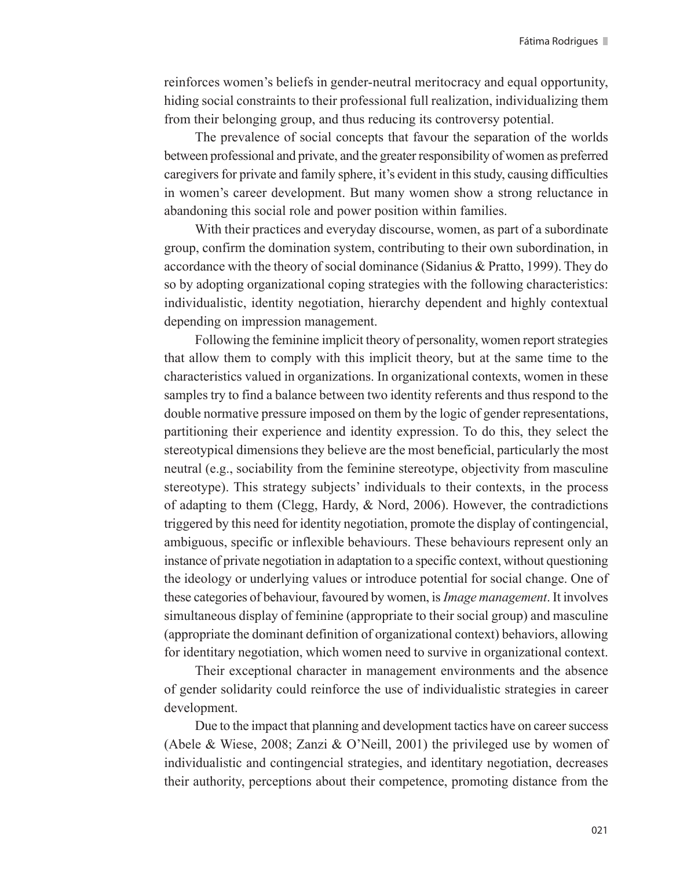reinforces women's beliefs in gender-neutral meritocracy and equal opportunity, hiding social constraints to their professional full realization, individualizing them from their belonging group, and thus reducing its controversy potential.

The prevalence of social concepts that favour the separation of the worlds between professional and private, and the greater responsibility of women as preferred caregivers for private and family sphere, it's evident in this study, causing difficulties in women's career development. But many women show a strong reluctance in abandoning this social role and power position within families.

With their practices and everyday discourse, women, as part of a subordinate group, confirm the domination system, contributing to their own subordination, in accordance with the theory of social dominance (Sidanius & Pratto, 1999). They do so by adopting organizational coping strategies with the following characteristics: individualistic, identity negotiation, hierarchy dependent and highly contextual depending on impression management.

Following the feminine implicit theory of personality, women report strategies that allow them to comply with this implicit theory, but at the same time to the characteristics valued in organizations. In organizational contexts, women in these samples try to find a balance between two identity referents and thus respond to the double normative pressure imposed on them by the logic of gender representations, partitioning their experience and identity expression. To do this, they select the stereotypical dimensions they believe are the most beneficial, particularly the most neutral (e.g., sociability from the feminine stereotype, objectivity from masculine stereotype). This strategy subjects' individuals to their contexts, in the process of adapting to them (Clegg, Hardy,  $\&$  Nord, 2006). However, the contradictions triggered by this need for identity negotiation, promote the display of contingencial, ambiguous, specific or inflexible behaviours. These behaviours represent only an instance of private negotiation in adaptation to a specific context, without questioning the ideology or underlying values or introduce potential for social change. One of these categories of behaviour, favoured by women, is *Image management*. It involves simultaneous display of feminine (appropriate to their social group) and masculine (appropriate the dominant definition of organizational context) behaviors, allowing for identitary negotiation, which women need to survive in organizational context.

Their exceptional character in management environments and the absence of gender solidarity could reinforce the use of individualistic strategies in career development.

Due to the impact that planning and development tactics have on career success (Abele & Wiese, 2008; Zanzi & O'Neill, 2001) the privileged use by women of individualistic and contingencial strategies, and identitary negotiation, decreases their authority, perceptions about their competence, promoting distance from the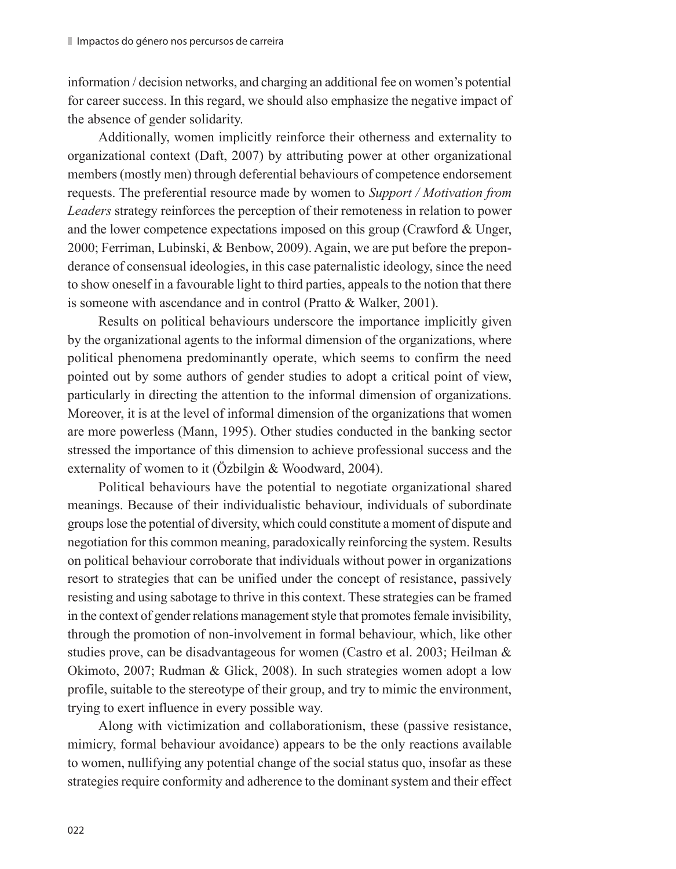information / decision networks, and charging an additional fee on women's potential for career success. In this regard, we should also emphasize the negative impact of the absence of gender solidarity.

Additionally, women implicitly reinforce their otherness and externality to organizational context (Daft, 2007) by attributing power at other organizational members (mostly men) through deferential behaviours of competence endorsement requests. The preferential resource made by women to *Support / Motivation from Leaders* strategy reinforces the perception of their remoteness in relation to power and the lower competence expectations imposed on this group (Crawford & Unger, 2000; Ferriman, Lubinski, & Benbow, 2009). Again, we are put before the preponderance of consensual ideologies, in this case paternalistic ideology, since the need to show oneself in a favourable light to third parties, appeals to the notion that there is someone with ascendance and in control (Pratto & Walker, 2001).

Results on political behaviours underscore the importance implicitly given by the organizational agents to the informal dimension of the organizations, where political phenomena predominantly operate, which seems to confirm the need pointed out by some authors of gender studies to adopt a critical point of view, particularly in directing the attention to the informal dimension of organizations. Moreover, it is at the level of informal dimension of the organizations that women are more powerless (Mann, 1995). Other studies conducted in the banking sector stressed the importance of this dimension to achieve professional success and the externality of women to it (Özbilgin & Woodward, 2004).

Political behaviours have the potential to negotiate organizational shared meanings. Because of their individualistic behaviour, individuals of subordinate groups lose the potential of diversity, which could constitute a moment of dispute and negotiation for this common meaning, paradoxically reinforcing the system. Results on political behaviour corroborate that individuals without power in organizations resort to strategies that can be unified under the concept of resistance, passively resisting and using sabotage to thrive in this context. These strategies can be framed in the context of gender relations management style that promotes female invisibility, through the promotion of non-involvement in formal behaviour, which, like other studies prove, can be disadvantageous for women (Castro et al. 2003; Heilman & Okimoto, 2007; Rudman & Glick, 2008). In such strategies women adopt a low profile, suitable to the stereotype of their group, and try to mimic the environment, trying to exert influence in every possible way.

Along with victimization and collaborationism, these (passive resistance, mimicry, formal behaviour avoidance) appears to be the only reactions available to women, nullifying any potential change of the social status quo, insofar as these strategies require conformity and adherence to the dominant system and their effect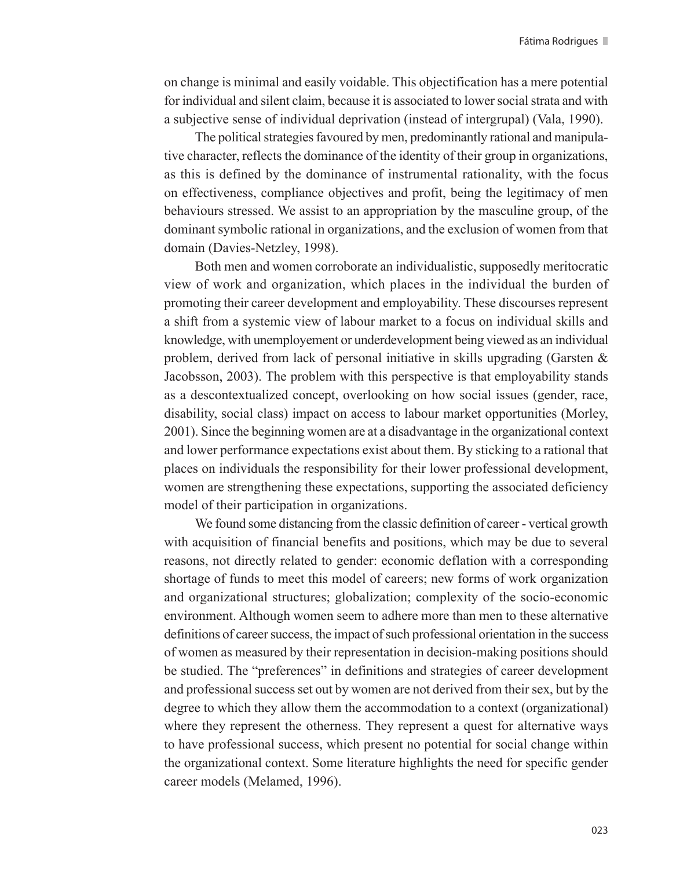on change is minimal and easily voidable. This objectification has a mere potential for individual and silent claim, because it is associated to lower social strata and with a subjective sense of individual deprivation (instead of intergrupal) (Vala, 1990).

The political strategies favoured by men, predominantly rational and manipulative character, reflects the dominance of the identity of their group in organizations, as this is defined by the dominance of instrumental rationality, with the focus on effectiveness, compliance objectives and profit, being the legitimacy of men behaviours stressed. We assist to an appropriation by the masculine group, of the dominant symbolic rational in organizations, and the exclusion of women from that domain (Davies-Netzley, 1998).

Both men and women corroborate an individualistic, supposedly meritocratic view of work and organization, which places in the individual the burden of promoting their career development and employability. These discourses represent a shift from a systemic view of labour market to a focus on individual skills and knowledge, with unemployement or underdevelopment being viewed as an individual problem, derived from lack of personal initiative in skills upgrading (Garsten  $\&$ Jacobsson, 2003). The problem with this perspective is that employability stands as a descontextualized concept, overlooking on how social issues (gender, race, disability, social class) impact on access to labour market opportunities (Morley, 2001). Since the beginning women are at a disadvantage in the organizational context and lower performance expectations exist about them. By sticking to a rational that places on individuals the responsibility for their lower professional development, women are strengthening these expectations, supporting the associated deficiency model of their participation in organizations.

We found some distancing from the classic definition of career - vertical growth with acquisition of financial benefits and positions, which may be due to several reasons, not directly related to gender: economic deflation with a corresponding shortage of funds to meet this model of careers; new forms of work organization and organizational structures; globalization; complexity of the socio-economic environment. Although women seem to adhere more than men to these alternative definitions of career success, the impact of such professional orientation in the success of women as measured by their representation in decision-making positions should be studied. The "preferences" in definitions and strategies of career development and professional success set out by women are not derived from their sex, but by the degree to which they allow them the accommodation to a context (organizational) where they represent the otherness. They represent a quest for alternative ways to have professional success, which present no potential for social change within the organizational context. Some literature highlights the need for specific gender career models (Melamed, 1996).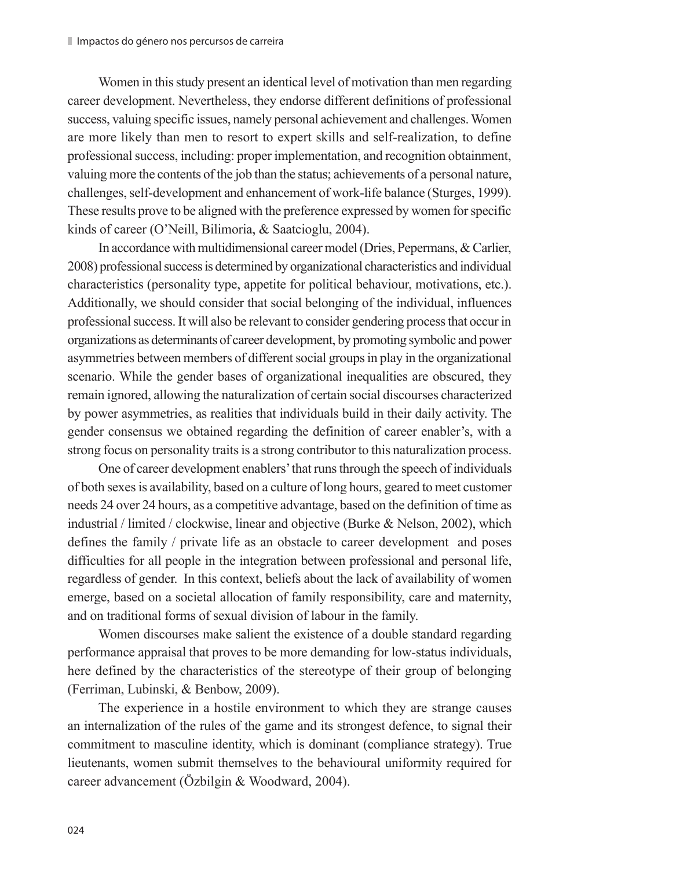Women in this study present an identical level of motivation than men regarding career development. Nevertheless, they endorse different definitions of professional success, valuing specific issues, namely personal achievement and challenges. Women are more likely than men to resort to expert skills and self-realization, to define professional success, including: proper implementation, and recognition obtainment, valuing more the contents of the job than the status; achievements of a personal nature, challenges, self-development and enhancement of work-life balance (Sturges, 1999). These results prove to be aligned with the preference expressed by women for specific kinds of career (O'Neill, Bilimoria, & Saatcioglu, 2004).

In accordance with multidimensional career model (Dries, Pepermans, & Carlier, 2008) professional success is determined by organizational characteristics and individual characteristics (personality type, appetite for political behaviour, motivations, etc.). Additionally, we should consider that social belonging of the individual, influences professional success. It will also be relevant to consider gendering process that occur in organizations as determinants of career development, by promoting symbolic and power asymmetries between members of different social groups in play in the organizational scenario. While the gender bases of organizational inequalities are obscured, they remain ignored, allowing the naturalization of certain social discourses characterized by power asymmetries, as realities that individuals build in their daily activity. The gender consensus we obtained regarding the definition of career enabler's, with a strong focus on personality traits is a strong contributor to this naturalization process.

One of career development enablers' that runs through the speech of individuals of both sexes is availability, based on a culture of long hours, geared to meet customer needs 24 over 24 hours, as a competitive advantage, based on the definition of time as industrial / limited / clockwise, linear and objective (Burke & Nelson, 2002), which defines the family / private life as an obstacle to career development and poses difficulties for all people in the integration between professional and personal life, regardless of gender. In this context, beliefs about the lack of availability of women emerge, based on a societal allocation of family responsibility, care and maternity, and on traditional forms of sexual division of labour in the family.

Women discourses make salient the existence of a double standard regarding performance appraisal that proves to be more demanding for low-status individuals, here defined by the characteristics of the stereotype of their group of belonging (Ferriman, Lubinski, & Benbow, 2009).

The experience in a hostile environment to which they are strange causes an internalization of the rules of the game and its strongest defence, to signal their commitment to masculine identity, which is dominant (compliance strategy). True lieutenants, women submit themselves to the behavioural uniformity required for career advancement (Özbilgin & Woodward, 2004).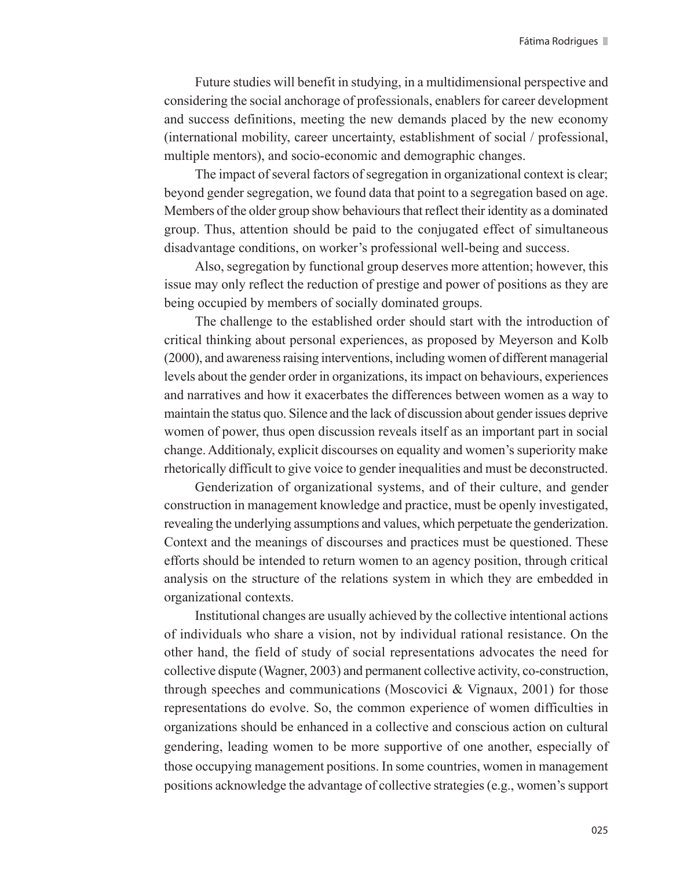Future studies will benefit in studying, in a multidimensional perspective and considering the social anchorage of professionals, enablers for career development and success definitions, meeting the new demands placed by the new economy (international mobility, career uncertainty, establishment of social / professional, multiple mentors), and socio-economic and demographic changes.

The impact of several factors of segregation in organizational context is clear; beyond gender segregation, we found data that point to a segregation based on age. Members of the older group show behaviours that reflect their identity as a dominated group. Thus, attention should be paid to the conjugated effect of simultaneous disadvantage conditions, on worker's professional well-being and success.

Also, segregation by functional group deserves more attention; however, this issue may only reflect the reduction of prestige and power of positions as they are being occupied by members of socially dominated groups.

The challenge to the established order should start with the introduction of critical thinking about personal experiences, as proposed by Meyerson and Kolb (2000), and awareness raising interventions, including women of different managerial levels about the gender order in organizations, its impact on behaviours, experiences and narratives and how it exacerbates the differences between women as a way to maintain the status quo. Silence and the lack of discussion about gender issues deprive women of power, thus open discussion reveals itself as an important part in social change. Additionaly, explicit discourses on equality and women's superiority make rhetorically difficult to give voice to gender inequalities and must be deconstructed.

Genderization of organizational systems, and of their culture, and gender construction in management knowledge and practice, must be openly investigated, revealing the underlying assumptions and values, which perpetuate the genderization. Context and the meanings of discourses and practices must be questioned. These efforts should be intended to return women to an agency position, through critical analysis on the structure of the relations system in which they are embedded in organizational contexts.

Institutional changes are usually achieved by the collective intentional actions of individuals who share a vision, not by individual rational resistance. On the other hand, the field of study of social representations advocates the need for collective dispute (Wagner, 2003) and permanent collective activity, co-construction, through speeches and communications (Moscovici  $\&$  Vignaux, 2001) for those representations do evolve. So, the common experience of women difficulties in organizations should be enhanced in a collective and conscious action on cultural gendering, leading women to be more supportive of one another, especially of those occupying management positions. In some countries, women in management positions acknowledge the advantage of collective strategies (e.g., women's support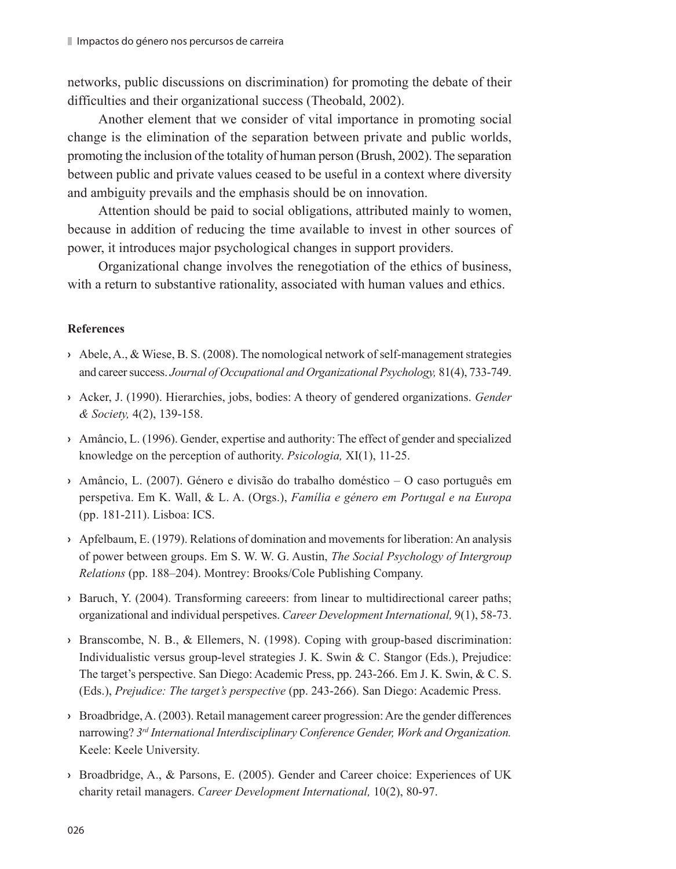networks, public discussions on discrimination) for promoting the debate of their difficulties and their organizational success (Theobald, 2002).

Another element that we consider of vital importance in promoting social change is the elimination of the separation between private and public worlds, promoting the inclusion of the totality of human person (Brush, 2002). The separation between public and private values ceased to be useful in a context where diversity and ambiguity prevails and the emphasis should be on innovation.

Attention should be paid to social obligations, attributed mainly to women, because in addition of reducing the time available to invest in other sources of power, it introduces major psychological changes in support providers.

Organizational change involves the renegotiation of the ethics of business, with a return to substantive rationality, associated with human values and ethics.

#### **References**

- **›** Abele, A., & Wiese, B. S. (2008). The nomological network of self-management strategies and career success. *Journal of Occupational and Organizational Psychology,* 81(4), 733-749.
- **›** Acker, J. (1990). Hierarchies, jobs, bodies: A theory of gendered organizations. *Gender & Society,* 4(2), 139-158.
- **›** Amâncio, L. (1996). Gender, expertise and authority: The effect of gender and specialized knowledge on the perception of authority. *Psicologia,* XI(1), 11-25.
- **›** Amâncio, L. (2007). Género e divisão do trabalho doméstico O caso português em perspetiva. Em K. Wall, & L. A. (Orgs.), *Família e género em Portugal e na Europa* (pp. 181-211). Lisboa: ICS.
- **›** Apfelbaum, E. (1979). Relations of domination and movements for liberation: An analysis of power between groups. Em S. W. W. G. Austin, *The Social Psychology of Intergroup Relations* (pp. 188–204). Montrey: Brooks/Cole Publishing Company.
- **›** Baruch, Y. (2004). Transforming careeers: from linear to multidirectional career paths; organizational and individual perspetives. *Career Development International,* 9(1), 58-73.
- **›** Branscombe, N. B., & Ellemers, N. (1998). Coping with group-based discrimination: Individualistic versus group-level strategies J. K. Swin & C. Stangor (Eds.), Prejudice: The target's perspective. San Diego: Academic Press, pp. 243-266. Em J. K. Swin, & C. S. (Eds.), *Prejudice: The target's perspective* (pp. 243-266). San Diego: Academic Press.
- **›** Broadbridge, A. (2003). Retail management career progression: Are the gender differences narrowing? *3rd International Interdisciplinary Conference Gender, Work and Organization.* Keele: Keele University.
- **›** Broadbridge, A., & Parsons, E. (2005). Gender and Career choice: Experiences of UK charity retail managers. *Career Development International,* 10(2), 80-97.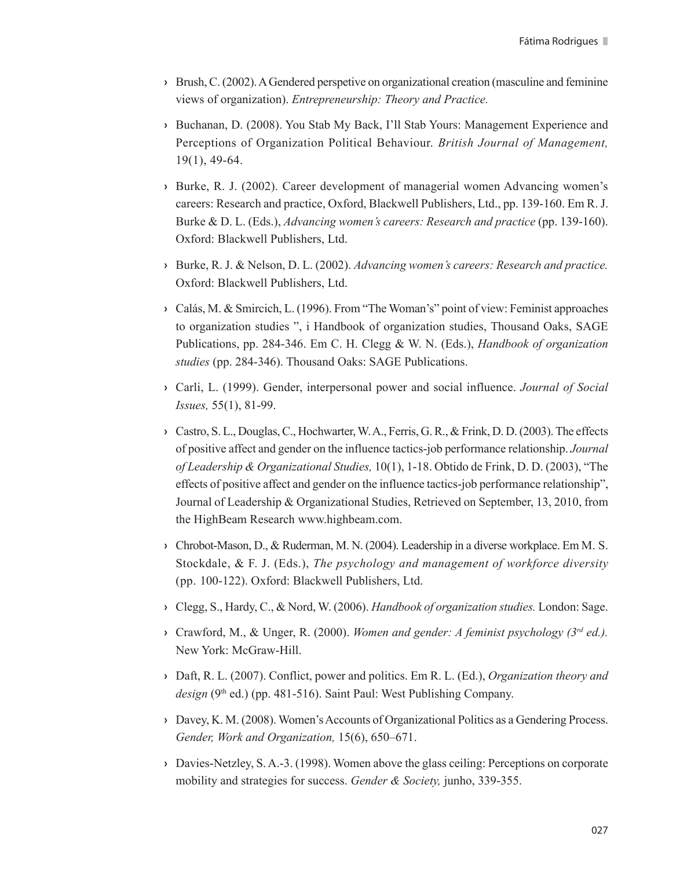- **›** Brush, C. (2002). A Gendered perspetive on organizational creation (masculine and feminine views of organization). *Entrepreneurship: Theory and Practice.*
- **›** Buchanan, D. (2008). You Stab My Back, I'll Stab Yours: Management Experience and Perceptions of Organization Political Behaviour. *British Journal of Management,*  19(1), 49-64.
- **›** Burke, R. J. (2002). Career development of managerial women Advancing women's careers: Research and practice, Oxford, Blackwell Publishers, Ltd., pp. 139-160. Em R. J. Burke & D. L. (Eds.), *Advancing women's careers: Research and practice* (pp. 139-160). Oxford: Blackwell Publishers, Ltd.
- **›** Burke, R. J. & Nelson, D. L. (2002). *Advancing women's careers: Research and practice.* Oxford: Blackwell Publishers, Ltd.
- **›** Calás, M. & Smircich, L. (1996). From "The Woman's" point of view: Feminist approaches to organization studies ", i Handbook of organization studies, Thousand Oaks, SAGE Publications, pp. 284-346. Em C. H. Clegg & W. N. (Eds.), *Handbook of organization studies* (pp. 284-346). Thousand Oaks: SAGE Publications.
- **›** Carli, L. (1999). Gender, interpersonal power and social influence. *Journal of Social Issues,* 55(1), 81-99.
- **›** Castro, S. L., Douglas, C., Hochwarter, W. A., Ferris, G. R., & Frink, D. D. (2003). The effects of positive affect and gender on the influence tactics-job performance relationship. *Journal of Leadership & Organizational Studies,* 10(1), 1-18. Obtido de Frink, D. D. (2003), "The effects of positive affect and gender on the influence tactics-job performance relationship", Journal of Leadership & Organizational Studies, Retrieved on September, 13, 2010, from the HighBeam Research www.highbeam.com.
- **›** Chrobot-Mason, D., & Ruderman, M. N. (2004). Leadership in a diverse workplace. Em M. S. Stockdale, & F. J. (Eds.), *The psychology and management of workforce diversity* (pp. 100-122). Oxford: Blackwell Publishers, Ltd.
- **›** Clegg, S., Hardy, C., & Nord, W. (2006). *Handbook of organization studies.* London: Sage.
- **›** Crawford, M., & Unger, R. (2000). *Women and gender: A feminist psychology (3rd ed.).* New York: McGraw-Hill.
- **›** Daft, R. L. (2007). Conflict, power and politics. Em R. L. (Ed.), *Organization theory and*  design (9<sup>th</sup> ed.) (pp. 481-516). Saint Paul: West Publishing Company.
- **›** Davey, K. M. (2008). Women's Accounts of Organizational Politics as a Gendering Process. *Gender, Work and Organization,* 15(6), 650–671.
- **›** Davies-Netzley, S. A.-3. (1998). Women above the glass ceiling: Perceptions on corporate mobility and strategies for success. *Gender & Society,* junho, 339-355.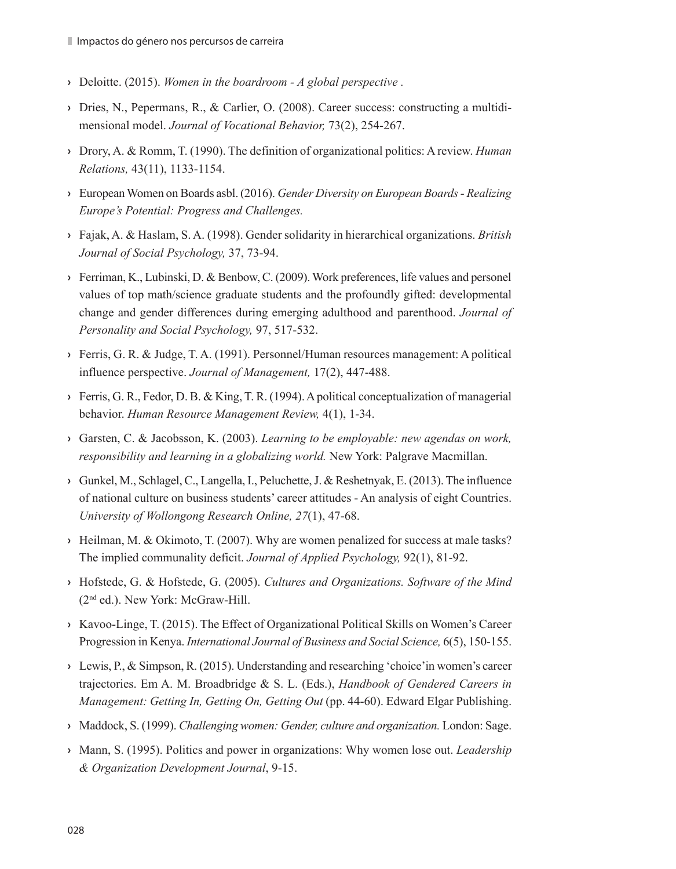- **›** Deloitte. (2015). *Women in the boardroom A global perspective .*
- **›** Dries, N., Pepermans, R., & Carlier, O. (2008). Career success: constructing a multidimensional model. *Journal of Vocational Behavior,* 73(2), 254-267.
- **›** Drory, A. & Romm, T. (1990). The definition of organizational politics: A review. *Human Relations,* 43(11), 1133-1154.
- **›** European Women on Boards asbl. (2016). *Gender Diversity on European Boards Realizing Europe's Potential: Progress and Challenges.*
- **›** Fajak, A. & Haslam, S. A. (1998). Gender solidarity in hierarchical organizations. *British Journal of Social Psychology,* 37, 73-94.
- **›** Ferriman, K., Lubinski, D. & Benbow, C. (2009). Work preferences, life values and personel values of top math/science graduate students and the profoundly gifted: developmental change and gender differences during emerging adulthood and parenthood. *Journal of Personality and Social Psychology,* 97, 517-532.
- **›** Ferris, G. R. & Judge, T. A. (1991). Personnel/Human resources management: A political influence perspective. *Journal of Management,* 17(2), 447-488.
- **›** Ferris, G. R., Fedor, D. B. & King, T. R. (1994). A political conceptualization of managerial behavior. *Human Resource Management Review,* 4(1), 1-34.
- **›** Garsten, C. & Jacobsson, K. (2003). *Learning to be employable: new agendas on work, responsibility and learning in a globalizing world.* New York: Palgrave Macmillan.
- **›** Gunkel, M., Schlagel, C., Langella, I., Peluchette, J. & Reshetnyak, E. (2013). The influence of national culture on business students' career attitudes - An analysis of eight Countries. *University of Wollongong Research Online, 27*(1), 47-68.
- **›** Heilman, M. & Okimoto, T. (2007). Why are women penalized for success at male tasks? The implied communality deficit. *Journal of Applied Psychology,* 92(1), 81-92.
- **›** Hofstede, G. & Hofstede, G. (2005). *Cultures and Organizations. Software of the Mind* (2nd ed.). New York: McGraw-Hill.
- **›** Kavoo-Linge, T. (2015). The Effect of Organizational Political Skills on Women's Career Progression in Kenya. *International Journal of Business and Social Science,* 6(5), 150-155.
- **›** Lewis, P., & Simpson, R. (2015). Understanding and researching 'choice'in women's career trajectories. Em A. M. Broadbridge & S. L. (Eds.), *Handbook of Gendered Careers in Management: Getting In, Getting On, Getting Out* (pp. 44-60). Edward Elgar Publishing.
- **›** Maddock, S. (1999). *Challenging women: Gender, culture and organization.* London: Sage.
- **›** Mann, S. (1995). Politics and power in organizations: Why women lose out. *Leadership & Organization Development Journal*, 9-15.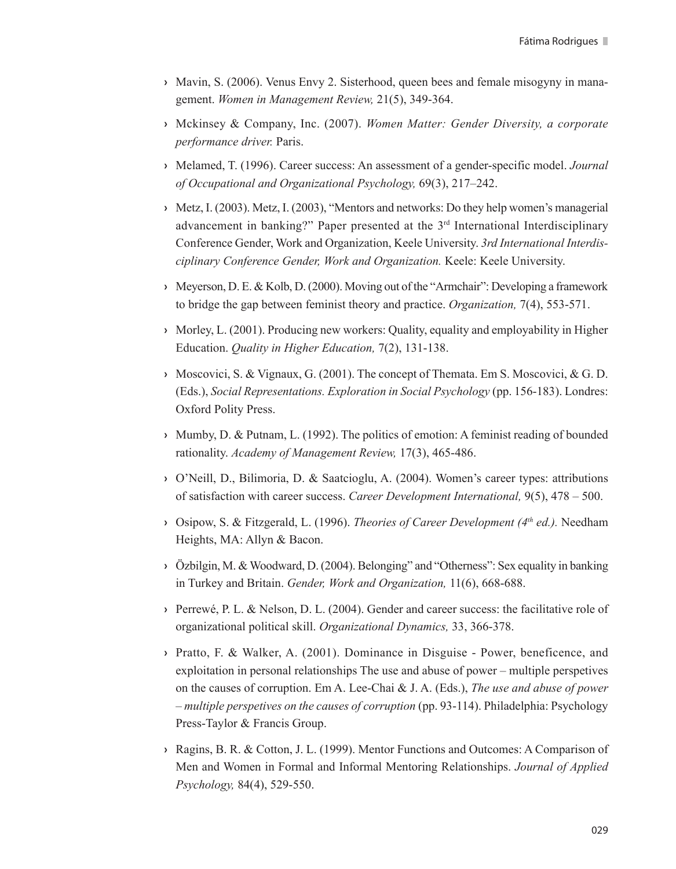- **›** Mavin, S. (2006). Venus Envy 2. Sisterhood, queen bees and female misogyny in management. *Women in Management Review,* 21(5), 349-364.
- **›** Mckinsey & Company, Inc. (2007). *Women Matter: Gender Diversity, a corporate performance driver.* Paris.
- **›** Melamed, T. (1996). Career success: An assessment of a gender-specific model. *Journal of Occupational and Organizational Psychology,* 69(3), 217–242.
- **›** Metz, I. (2003). Metz, I. (2003), "Mentors and networks: Do they help women's managerial advancement in banking?" Paper presented at the 3<sup>rd</sup> International Interdisciplinary Conference Gender, Work and Organization, Keele University. *3rd International Interdisciplinary Conference Gender, Work and Organization.* Keele: Keele University.
- **›** Meyerson, D. E. & Kolb, D. (2000). Moving out of the "Armchair": Developing a framework to bridge the gap between feminist theory and practice. *Organization,* 7(4), 553-571.
- **›** Morley, L. (2001). Producing new workers: Quality, equality and employability in Higher Education. *Quality in Higher Education,* 7(2), 131-138.
- **›** Moscovici, S. & Vignaux, G. (2001). The concept of Themata. Em S. Moscovici, & G. D. (Eds.), *Social Representations. Exploration in Social Psychology* (pp. 156-183). Londres: Oxford Polity Press.
- **›** Mumby, D. & Putnam, L. (1992). The politics of emotion: A feminist reading of bounded rationality. *Academy of Management Review,* 17(3), 465-486.
- **›** O'Neill, D., Bilimoria, D. & Saatcioglu, A. (2004). Women's career types: attributions of satisfaction with career success. *Career Development International,* 9(5), 478 – 500.
- **›** Osipow, S. & Fitzgerald, L. (1996). *Theories of Career Development (4th ed.).* Needham Heights, MA: Allyn & Bacon.
- **›** Özbilgin, M. & Woodward, D. (2004). Belonging" and "Otherness": Sex equality in banking in Turkey and Britain. *Gender, Work and Organization,* 11(6), 668-688.
- **›** Perrewé, P. L. & Nelson, D. L. (2004). Gender and career success: the facilitative role of organizational political skill. *Organizational Dynamics,* 33, 366-378.
- **›** Pratto, F. & Walker, A. (2001). Dominance in Disguise Power, beneficence, and exploitation in personal relationships The use and abuse of power – multiple perspetives on the causes of corruption. Em A. Lee-Chai & J. A. (Eds.), *The use and abuse of power – multiple perspetives on the causes of corruption* (pp. 93-114). Philadelphia: Psychology Press-Taylor & Francis Group.
- **›** Ragins, B. R. & Cotton, J. L. (1999). Mentor Functions and Outcomes: A Comparison of Men and Women in Formal and Informal Mentoring Relationships. *Journal of Applied Psychology,* 84(4), 529-550.